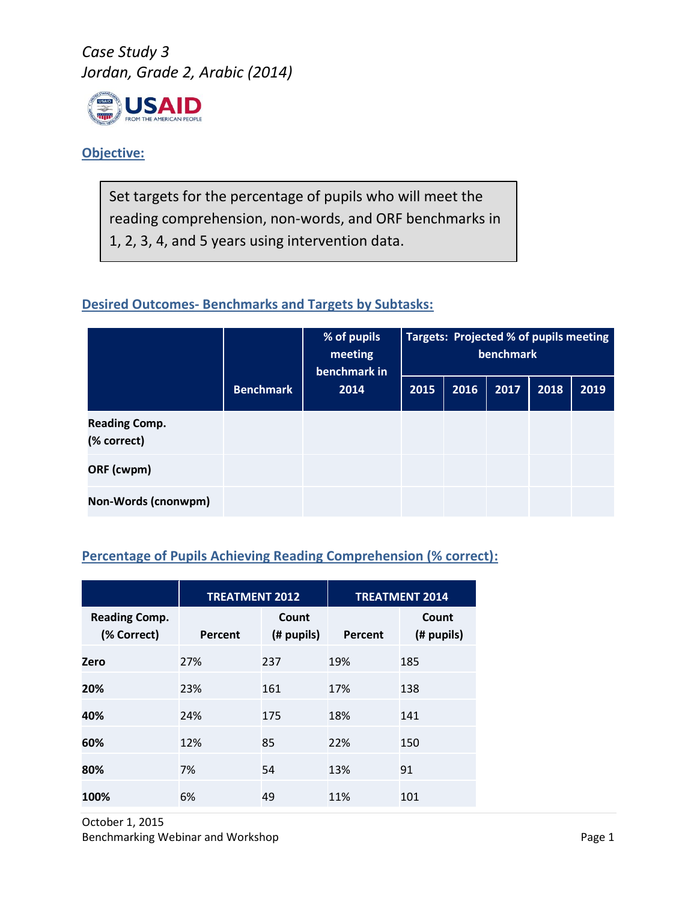

#### **Objective:**

Set targets for the percentage of pupils who will meet the reading comprehension, non-words, and ORF benchmarks in 1, 2, 3, 4, and 5 years using intervention data.

### **Desired Outcomes- Benchmarks and Targets by Subtasks:**

|                                     |                  | % of pupils<br>meeting<br>benchmark in | Targets: Projected % of pupils meeting<br><b>benchmark</b> |      |      |      |      |
|-------------------------------------|------------------|----------------------------------------|------------------------------------------------------------|------|------|------|------|
|                                     | <b>Benchmark</b> | 2014                                   | 2015                                                       | 2016 | 2017 | 2018 | 2019 |
| <b>Reading Comp.</b><br>(% correct) |                  |                                        |                                                            |      |      |      |      |
| ORF (cwpm)                          |                  |                                        |                                                            |      |      |      |      |
| Non-Words (cnonwpm)                 |                  |                                        |                                                            |      |      |      |      |

## **Percentage of Pupils Achieving Reading Comprehension (% correct):**

|                                     | <b>TREATMENT 2012</b> |                     | <b>TREATMENT 2014</b> |                     |  |
|-------------------------------------|-----------------------|---------------------|-----------------------|---------------------|--|
| <b>Reading Comp.</b><br>(% Correct) | Percent               | Count<br>(# pupils) | Percent               | Count<br>(# pupils) |  |
| Zero                                | 27%                   | 237                 | 19%                   | 185                 |  |
| 20%                                 | 23%                   | 161                 | 17%                   | 138                 |  |
| 40%                                 | 24%                   | 175                 | 18%                   | 141                 |  |
| 60%                                 | 12%                   | 85                  | 22%                   | 150                 |  |
| 80%                                 | 7%                    | 54                  | 13%                   | 91                  |  |
| 100%                                | 6%                    | 49                  | 11%                   | 101                 |  |

October 1, 2015 Benchmarking Webinar and Workshop **Page 1 Page 1**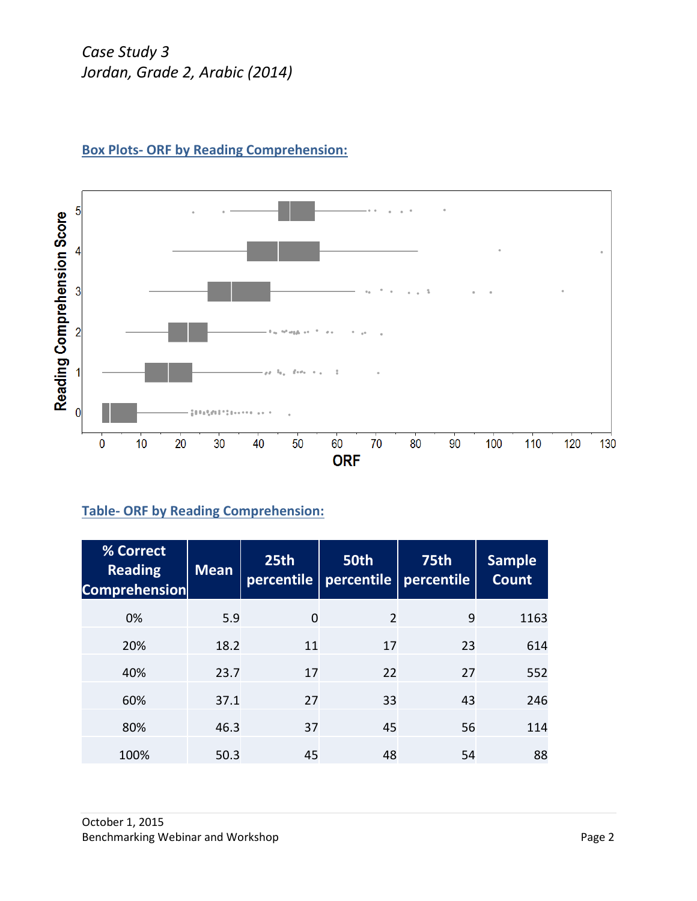

# **Box Plots- ORF by Reading Comprehension:**

## **Table- ORF by Reading Comprehension:**

| % Correct<br><b>Reading</b><br><b>Comprehension</b> | <b>Mean</b> | 25th<br>percentile | 50th<br>percentile | 75th<br>percentile | <b>Sample</b><br><b>Count</b> |
|-----------------------------------------------------|-------------|--------------------|--------------------|--------------------|-------------------------------|
| 0%                                                  | 5.9         | $\overline{0}$     | 2                  | 9                  | 1163                          |
| 20%                                                 | 18.2        | 11                 | 17                 | 23                 | 614                           |
| 40%                                                 | 23.7        | 17                 | 22                 | 27                 | 552                           |
| 60%                                                 | 37.1        | 27                 | 33                 | 43                 | 246                           |
| 80%                                                 | 46.3        | 37                 | 45                 | 56                 | 114                           |
| 100%                                                | 50.3        | 45                 | 48                 | 54                 | 88                            |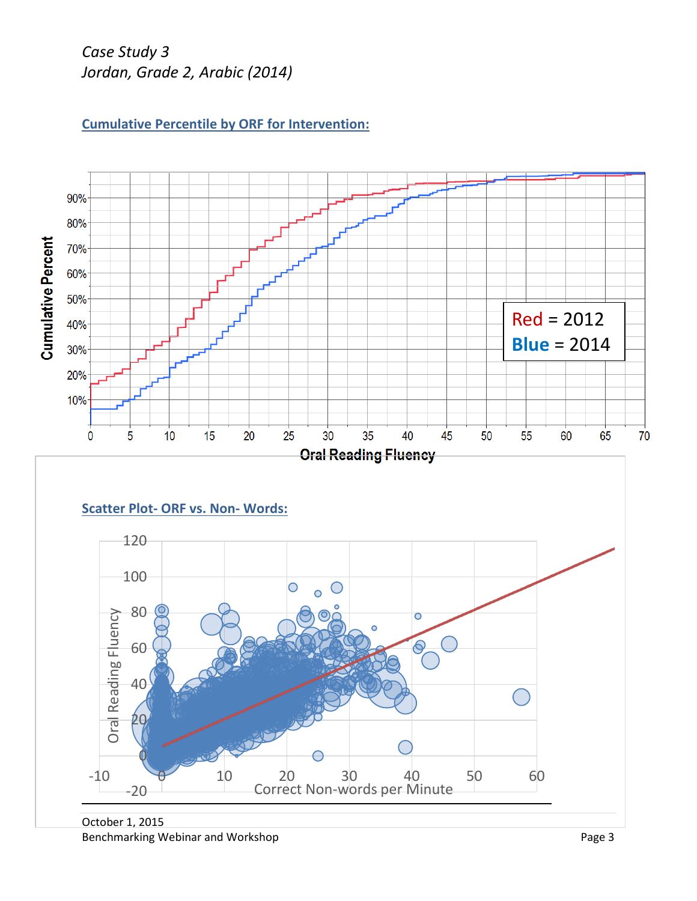



Benchmarking Webinar and Workshop **Page 3 Page 3**